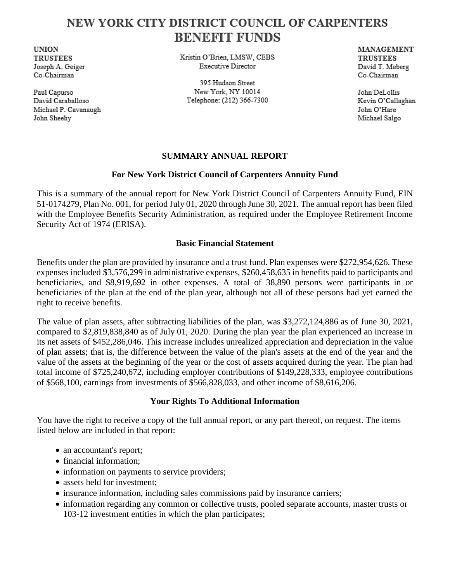# NEW YORK CITY DISTRICT COUNCIL OF CARPENTERS **BENEFIT FUNDS**

**UNION TRUSTEES** Joseph A. Geiger Co-Chairman

Paul Capurso David Caraballoso Michael P. Cavanaugh John Sheehy

Kristin O'Brien, LMSW, CEBS **Executive Director** 

395 Hudson Street New York, NY 10014 Telephone: (212) 366-7300 MANAGEMENT **TRUSTEES** David T. Meberg Co-Chairman

John DeLollis Kevin O'Callaghan John O'Hare Michael Salgo

### **SUMMARY ANNUAL REPORT**

### **For New York District Council of Carpenters Annuity Fund**

This is a summary of the annual report for New York District Council of Carpenters Annuity Fund, EIN 51-0174279, Plan No. 001, for period July 01, 2020 through June 30, 2021. The annual report has been filed with the Employee Benefits Security Administration, as required under the Employee Retirement Income Security Act of 1974 (ERISA).

#### **Basic Financial Statement**

Benefits under the plan are provided by insurance and a trust fund. Plan expenses were \$272,954,626. These expenses included \$3,576,299 in administrative expenses, \$260,458,635 in benefits paid to participants and beneficiaries, and \$8,919,692 in other expenses. A total of 38,890 persons were participants in or beneficiaries of the plan at the end of the plan year, although not all of these persons had yet earned the right to receive benefits.

The value of plan assets, after subtracting liabilities of the plan, was \$3,272,124,886 as of June 30, 2021, compared to \$2,819,838,840 as of July 01, 2020. During the plan year the plan experienced an increase in its net assets of \$452,286,046. This increase includes unrealized appreciation and depreciation in the value of plan assets; that is, the difference between the value of the plan's assets at the end of the year and the value of the assets at the beginning of the year or the cost of assets acquired during the year. The plan had total income of \$725,240,672, including employer contributions of \$149,228,333, employee contributions of \$568,100, earnings from investments of \$566,828,033, and other income of \$8,616,206.

## **Your Rights To Additional Information**

You have the right to receive a copy of the full annual report, or any part thereof, on request. The items listed below are included in that report:

- an accountant's report;
- financial information;
- information on payments to service providers;
- assets held for investment;
- insurance information, including sales commissions paid by insurance carriers;
- information regarding any common or collective trusts, pooled separate accounts, master trusts or 103-12 investment entities in which the plan participates;